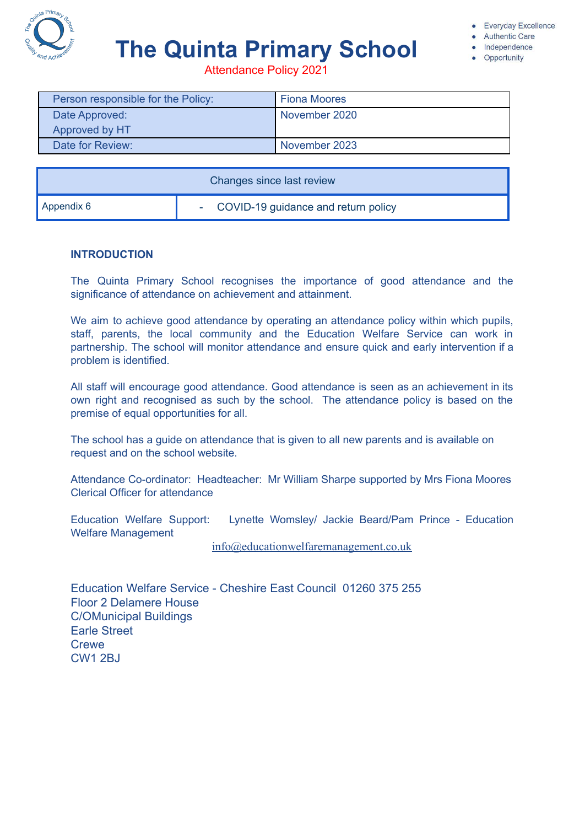

# **The Quinta Primary School**

**Authentic Care** Independence

Opportunity

Attendance Policy 2021

| Person responsible for the Policy: | <b>Fiona Moores</b> |
|------------------------------------|---------------------|
| Date Approved:                     | November 2020       |
| Approved by HT                     |                     |
| Date for Review:                   | November 2023       |

| Changes since last review |                                       |  |
|---------------------------|---------------------------------------|--|
| $\blacksquare$ Appendix 6 | - COVID-19 guidance and return policy |  |

## **INTRODUCTION**

The Quinta Primary School recognises the importance of good attendance and the significance of attendance on achievement and attainment.

We aim to achieve good attendance by operating an attendance policy within which pupils, staff, parents, the local community and the Education Welfare Service can work in partnership. The school will monitor attendance and ensure quick and early intervention if a problem is identified.

All staff will encourage good attendance. Good attendance is seen as an achievement in its own right and recognised as such by the school. The attendance policy is based on the premise of equal opportunities for all.

The school has a guide on attendance that is given to all new parents and is available on request and on the school website.

Attendance Co-ordinator: Headteacher: Mr William Sharpe supported by Mrs Fiona Moores Clerical Officer for attendance

Education Welfare Support: Lynette Womsley/ Jackie Beard/Pam Prince - Education Welfare Management

[info@educationwelfaremanagement.co.uk](mailto:info@educationwelfaremanagement.co.uk)

Education Welfare Service - Cheshire East Council 01260 375 255 Floor 2 Delamere House C/OMunicipal Buildings Earle Street **Crewe** CW1 2BJ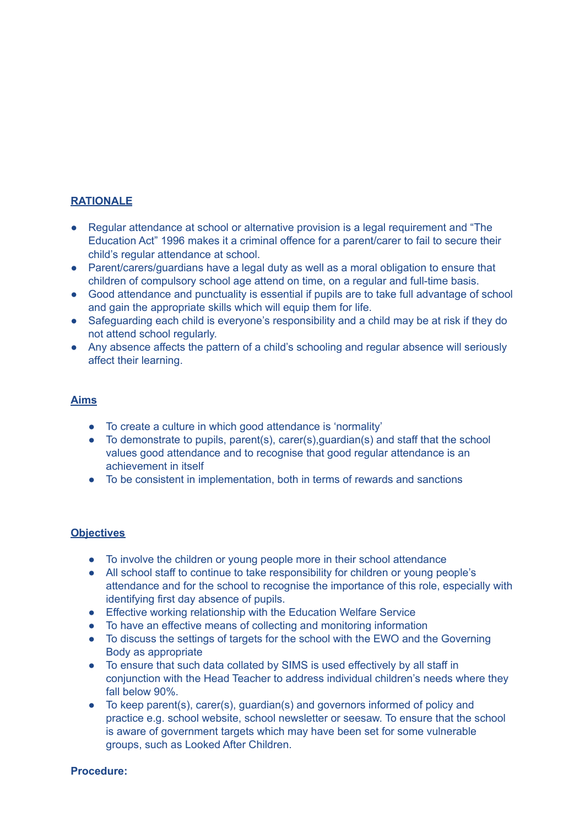# **RATIONALE**

- Regular attendance at school or alternative provision is a legal requirement and "The Education Act" 1996 makes it a criminal offence for a parent/carer to fail to secure their child's regular attendance at school.
- Parent/carers/guardians have a legal duty as well as a moral obligation to ensure that children of compulsory school age attend on time, on a regular and full-time basis.
- Good attendance and punctuality is essential if pupils are to take full advantage of school and gain the appropriate skills which will equip them for life.
- Safeguarding each child is everyone's responsibility and a child may be at risk if they do not attend school regularly.
- Any absence affects the pattern of a child's schooling and regular absence will seriously affect their learning.

## **Aims**

- To create a culture in which good attendance is 'normality'
- To demonstrate to pupils, parent(s), carer(s),guardian(s) and staff that the school values good attendance and to recognise that good regular attendance is an achievement in itself
- To be consistent in implementation, both in terms of rewards and sanctions

## **Objectives**

- To involve the children or young people more in their school attendance
- All school staff to continue to take responsibility for children or young people's attendance and for the school to recognise the importance of this role, especially with identifying first day absence of pupils.
- Effective working relationship with the Education Welfare Service
- To have an effective means of collecting and monitoring information
- To discuss the settings of targets for the school with the EWO and the Governing Body as appropriate
- To ensure that such data collated by SIMS is used effectively by all staff in conjunction with the Head Teacher to address individual children's needs where they fall below 90%.
- To keep parent(s), carer(s), quardian(s) and governors informed of policy and practice e.g. school website, school newsletter or seesaw. To ensure that the school is aware of government targets which may have been set for some vulnerable groups, such as Looked After Children.

#### **Procedure:**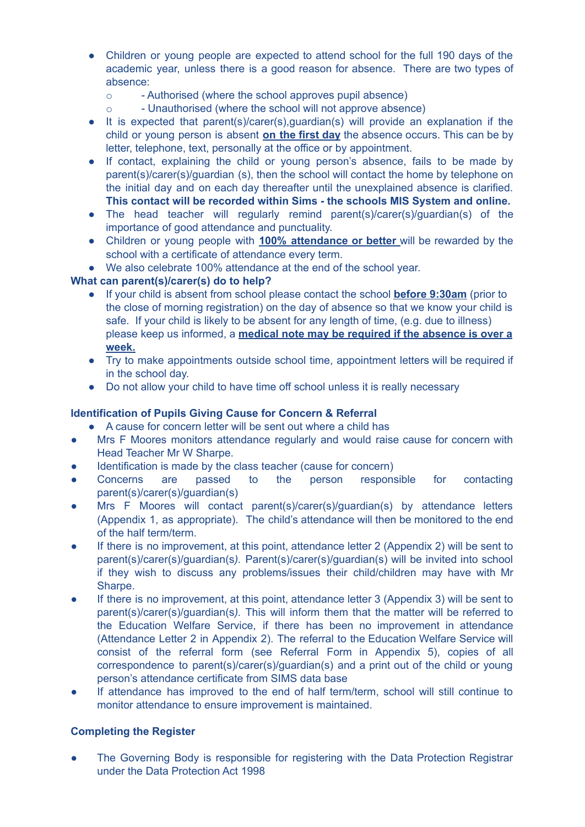- Children or young people are expected to attend school for the full 190 days of the academic year, unless there is a good reason for absence. There are two types of absence:
	- o Authorised (where the school approves pupil absence)
	- o Unauthorised (where the school will not approve absence)
- **●** It is expected that parent(s)/carer(s),guardian(s) will provide an explanation if the child or young person is absent **on the first day** the absence occurs. This can be by letter, telephone, text, personally at the office or by appointment.
- **●** If contact, explaining the child or young person's absence, fails to be made by parent(s)/carer(s)/guardian (s), then the school will contact the home by telephone on the initial day and on each day thereafter until the unexplained absence is clarified. **This contact will be recorded within Sims - the schools MIS System and online.**
- The head teacher will regularly remind parent(s)/carer(s)/guardian(s) of the importance of good attendance and punctuality.
- Children or young people with **100% attendance or better** will be rewarded by the school with a certificate of attendance every term.
- We also celebrate 100% attendance at the end of the school year.

# **What can parent(s)/carer(s) do to help?**

- If your child is absent from school please contact the school **before 9:30am** (prior to the close of morning registration) on the day of absence so that we know your child is safe. If your child is likely to be absent for any length of time, (e.g. due to illness) please keep us informed, a **medical note may be required if the absence is over a week.**
- Try to make appointments outside school time, appointment letters will be required if in the school day.
- Do not allow your child to have time off school unless it is really necessary

# **Identification of Pupils Giving Cause for Concern & Referral**

- A cause for concern letter will be sent out where a child has
- Mrs F Moores monitors attendance regularly and would raise cause for concern with Head Teacher Mr W Sharpe.
- Identification is made by the class teacher (cause for concern)
- Concerns are passed to the person responsible for contacting parent(s)/carer(s)/guardian(s)
- Mrs F Moores will contact parent(s)/carer(s)/guardian(s) by attendance letters (Appendix 1, as appropriate). The child's attendance will then be monitored to the end of the half term/term.
- If there is no improvement, at this point, attendance letter 2 (Appendix 2) will be sent to parent(s)/carer(s)/guardian(s*).* Parent(s)/carer(s)/guardian(s) will be invited into school if they wish to discuss any problems/issues their child/children may have with Mr Sharpe.
- If there is no improvement, at this point, attendance letter 3 (Appendix 3) will be sent to parent(s)/carer(s)/guardian(s*).* This will inform them that the matter will be referred to the Education Welfare Service, if there has been no improvement in attendance (Attendance Letter 2 in Appendix 2). The referral to the Education Welfare Service will consist of the referral form (see Referral Form in Appendix 5), copies of all correspondence to parent(s)/carer(s)/guardian(s) and a print out of the child or young person's attendance certificate from SIMS data base
- If attendance has improved to the end of half term/term, school will still continue to monitor attendance to ensure improvement is maintained.

## **Completing the Register**

The Governing Body is responsible for registering with the Data Protection Registrar under the Data Protection Act 1998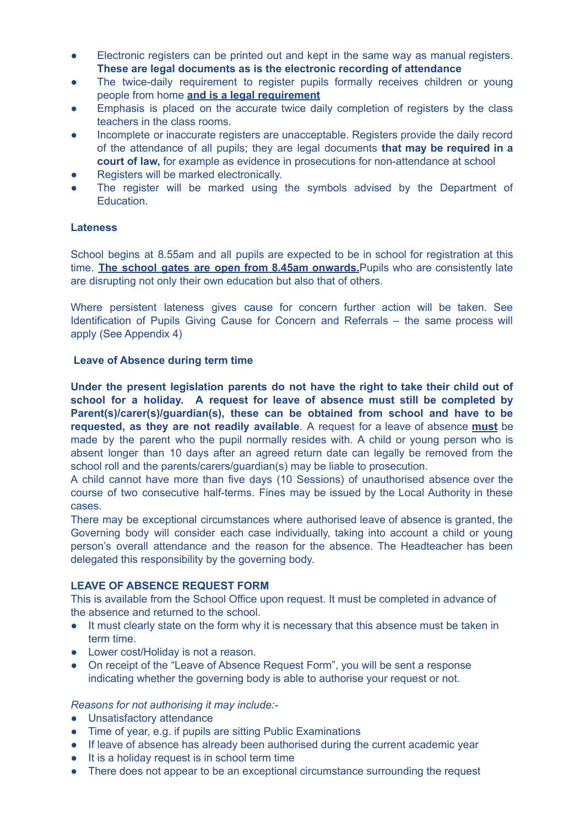- Electronic registers can be printed out and kept in the same way as manual registers. **These are legal documents as is the electronic recording of attendance**
- The twice-daily requirement to register pupils formally receives children or young people from home **and is a legal requirement**
- Emphasis is placed on the accurate twice daily completion of registers by the class teachers in the class rooms.
- Incomplete or inaccurate registers are unacceptable. Registers provide the daily record of the attendance of all pupils; they are legal documents **that may be required in a court of law,** for example as evidence in prosecutions for non-attendance at school
- Registers will be marked electronically.
- The register will be marked using the symbols advised by the Department of Education.

## **Lateness**

School begins at 8.55am and all pupils are expected to be in school for registration at this time. **The school gates are open from 8.45am onwards.**Pupils who are consistently late are disrupting not only their own education but also that of others.

Where persistent lateness gives cause for concern further action will be taken. See Identification of Pupils Giving Cause for Concern and Referrals – the same process will apply (See Appendix 4)

#### **Leave of Absence during term time**

**Under the present legislation parents do not have the right to take their child out of school for a holiday. A request for leave of absence must still be completed by Parent(s)/carer(s)/guardian(s), these can be obtained from school and have to be requested, as they are not readily available**. A request for a leave of absence **must** be made by the parent who the pupil normally resides with. A child or young person who is absent longer than 10 days after an agreed return date can legally be removed from the school roll and the parents/carers/guardian(s) may be liable to prosecution.

A child cannot have more than five days (10 Sessions) of unauthorised absence over the course of two consecutive half-terms. Fines may be issued by the Local Authority in these cases.

There may be exceptional circumstances where authorised leave of absence is granted, the Governing body will consider each case individually, taking into account a child or young person's overall attendance and the reason for the absence. The Headteacher has been delegated this responsibility by the governing body.

## **LEAVE OF ABSENCE REQUEST FORM**

This is available from the School Office upon request. It must be completed in advance of the absence and returned to the school.

- It must clearly state on the form why it is necessary that this absence must be taken in term time.
- Lower cost/Holiday is not a reason.
- On receipt of the "Leave of Absence Request Form", you will be sent a response indicating whether the governing body is able to authorise your request or not.

#### *Reasons for not authorising it may include:-*

- Unsatisfactory attendance
- Time of year, e.g. if pupils are sitting Public Examinations
- If leave of absence has already been authorised during the current academic year
- It is a holiday request is in school term time
- There does not appear to be an exceptional circumstance surrounding the request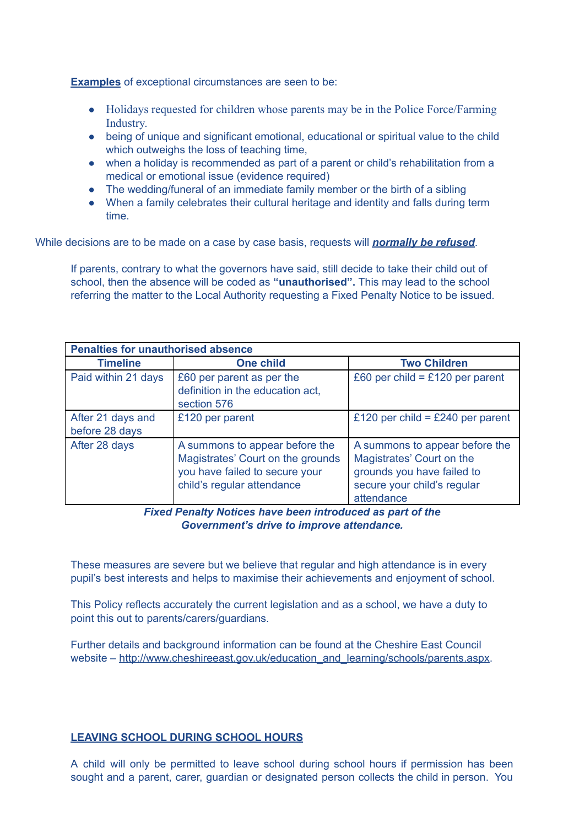**Examples** of exceptional circumstances are seen to be:

- Holidays requested for children whose parents may be in the Police Force/Farming Industry.
- being of unique and significant emotional, educational or spiritual value to the child which outweighs the loss of teaching time.
- when a holiday is recommended as part of a parent or child's rehabilitation from a medical or emotional issue (evidence required)
- The wedding/funeral of an immediate family member or the birth of a sibling
- When a family celebrates their cultural heritage and identity and falls during term time.

While decisions are to be made on a case by case basis, requests will *normally be refused*.

If parents, contrary to what the governors have said, still decide to take their child out of school, then the absence will be coded as **"unauthorised".** This may lead to the school referring the matter to the Local Authority requesting a Fixed Penalty Notice to be issued.

| <b>Penalties for unauthorised absence</b> |                                                                                                                                     |                                                                                                                                        |  |
|-------------------------------------------|-------------------------------------------------------------------------------------------------------------------------------------|----------------------------------------------------------------------------------------------------------------------------------------|--|
| <b>Timeline</b>                           | <b>One child</b>                                                                                                                    | <b>Two Children</b>                                                                                                                    |  |
| Paid within 21 days                       | £60 per parent as per the<br>definition in the education act,<br>section 576                                                        | £60 per child = £120 per parent                                                                                                        |  |
| After 21 days and<br>before 28 days       | £120 per parent                                                                                                                     | £120 per child = £240 per parent                                                                                                       |  |
| After 28 days                             | A summons to appear before the<br>Magistrates' Court on the grounds<br>you have failed to secure your<br>child's regular attendance | A summons to appear before the<br>Magistrates' Court on the<br>grounds you have failed to<br>secure your child's regular<br>attendance |  |

*Fixed Penalty Notices have been introduced as part of the Government's drive to improve attendance.*

These measures are severe but we believe that regular and high attendance is in every pupil's best interests and helps to maximise their achievements and enjoyment of school.

This Policy reflects accurately the current legislation and as a school, we have a duty to point this out to parents/carers/guardians.

Further details and background information can be found at the Cheshire East Council website – [http://www.cheshireeast.gov.uk/education\\_and\\_learning/schools/parents.aspx.](http://www.cheshireeast.gov.uk/education_and_learning/schools/parents.aspx)

## **LEAVING SCHOOL DURING SCHOOL HOURS**

A child will only be permitted to leave school during school hours if permission has been sought and a parent, carer, guardian or designated person collects the child in person. You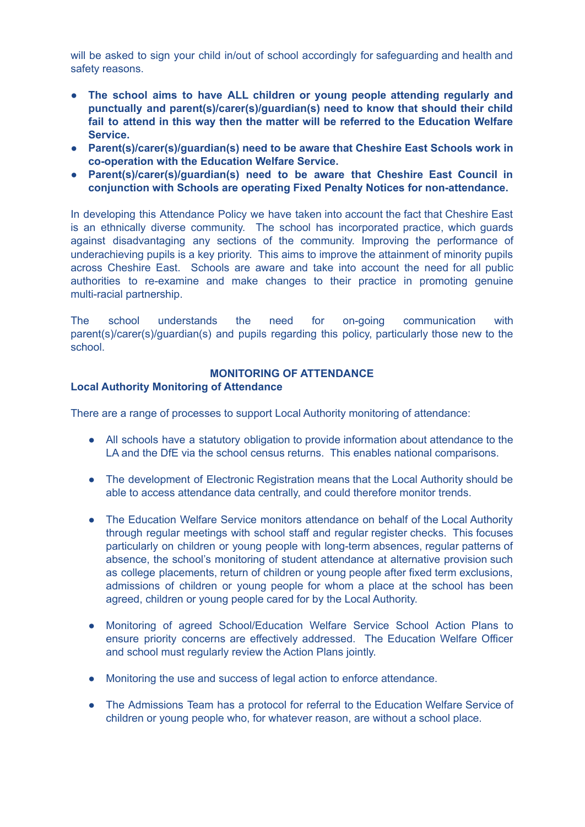will be asked to sign your child in/out of school accordingly for safeguarding and health and safety reasons.

- **● The school aims to have ALL children or young people attending regularly and punctually and parent(s)/carer(s)/guardian(s) need to know that should their child fail to attend in this way then the matter will be referred to the Education Welfare Service.**
- **● Parent(s)/carer(s)/guardian(s) need to be aware that Cheshire East Schools work in co-operation with the Education Welfare Service.**
- **● Parent(s)/carer(s)/guardian(s) need to be aware that Cheshire East Council in conjunction with Schools are operating Fixed Penalty Notices for non-attendance.**

In developing this Attendance Policy we have taken into account the fact that Cheshire East is an ethnically diverse community. The school has incorporated practice, which guards against disadvantaging any sections of the community. Improving the performance of underachieving pupils is a key priority. This aims to improve the attainment of minority pupils across Cheshire East. Schools are aware and take into account the need for all public authorities to re-examine and make changes to their practice in promoting genuine multi-racial partnership.

The school understands the need for on-going communication with parent(s)/carer(s)/guardian(s) and pupils regarding this policy, particularly those new to the school.

## **MONITORING OF ATTENDANCE**

#### **Local Authority Monitoring of Attendance**

There are a range of processes to support Local Authority monitoring of attendance:

- All schools have a statutory obligation to provide information about attendance to the LA and the DfE via the school census returns. This enables national comparisons.
- The development of Electronic Registration means that the Local Authority should be able to access attendance data centrally, and could therefore monitor trends.
- The Education Welfare Service monitors attendance on behalf of the Local Authority through regular meetings with school staff and regular register checks. This focuses particularly on children or young people with long-term absences, regular patterns of absence, the school's monitoring of student attendance at alternative provision such as college placements, return of children or young people after fixed term exclusions, admissions of children or young people for whom a place at the school has been agreed, children or young people cared for by the Local Authority.
- Monitoring of agreed School/Education Welfare Service School Action Plans to ensure priority concerns are effectively addressed. The Education Welfare Officer and school must regularly review the Action Plans jointly.
- Monitoring the use and success of legal action to enforce attendance.
- The Admissions Team has a protocol for referral to the Education Welfare Service of children or young people who, for whatever reason, are without a school place.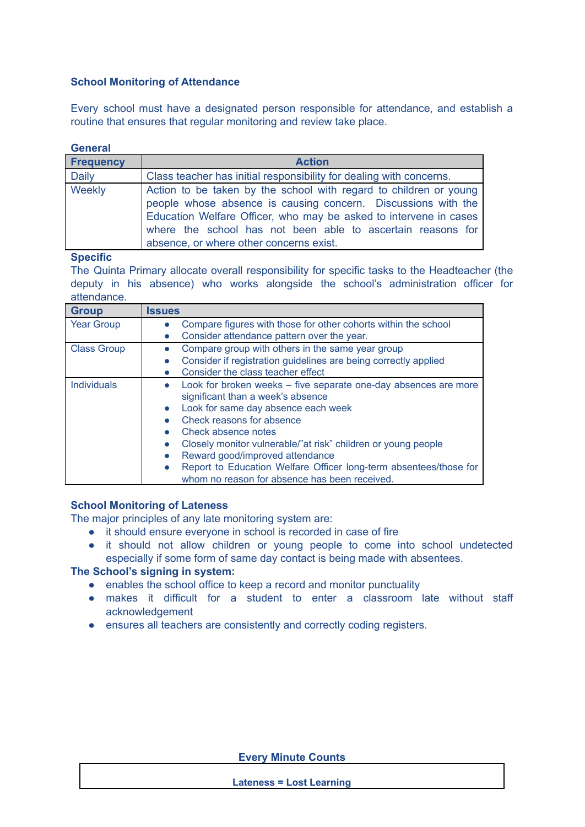## **School Monitoring of Attendance**

Every school must have a designated person responsible for attendance, and establish a routine that ensures that regular monitoring and review take place.

#### **General**

| <b>Frequency</b> | <b>Action</b>                                                                                                                                                                                                                                                                                                     |  |  |
|------------------|-------------------------------------------------------------------------------------------------------------------------------------------------------------------------------------------------------------------------------------------------------------------------------------------------------------------|--|--|
| <b>Daily</b>     | Class teacher has initial responsibility for dealing with concerns.                                                                                                                                                                                                                                               |  |  |
| Weekly           | Action to be taken by the school with regard to children or young<br>people whose absence is causing concern. Discussions with the<br>Education Welfare Officer, who may be asked to intervene in cases<br>where the school has not been able to ascertain reasons for<br>absence, or where other concerns exist. |  |  |

**Specific**

The Quinta Primary allocate overall responsibility for specific tasks to the Headteacher (the deputy in his absence) who works alongside the school's administration officer for attendance.

| <b>Group</b>       | <b>Issues</b>                                                                  |
|--------------------|--------------------------------------------------------------------------------|
| <b>Year Group</b>  | Compare figures with those for other cohorts within the school<br>$\bullet$    |
|                    | Consider attendance pattern over the year.                                     |
| <b>Class Group</b> | Compare group with others in the same year group<br>$\bullet$                  |
|                    | Consider if registration guidelines are being correctly applied                |
|                    | Consider the class teacher effect                                              |
| <b>Individuals</b> | Look for broken weeks – five separate one-day absences are more<br>$\bullet$   |
|                    | significant than a week's absence                                              |
|                    | Look for same day absence each week<br>$\bullet$                               |
|                    | Check reasons for absence                                                      |
|                    | Check absence notes                                                            |
|                    | Closely monitor vulnerable/"at risk" children or young people<br>$\bullet$     |
|                    | Reward good/improved attendance<br>$\bullet$                                   |
|                    | Report to Education Welfare Officer long-term absentees/those for<br>$\bullet$ |
|                    | whom no reason for absence has been received.                                  |

## **School Monitoring of Lateness**

The major principles of any late monitoring system are:

- it should ensure everyone in school is recorded in case of fire
- it should not allow children or young people to come into school undetected especially if some form of same day contact is being made with absentees.

# **The School's signing in system:**

- enables the school office to keep a record and monitor punctuality
- makes it difficult for a student to enter a classroom late without staff acknowledgement
- ensures all teachers are consistently and correctly coding registers.

**Every Minute Counts**

**Lateness = Lost Learning**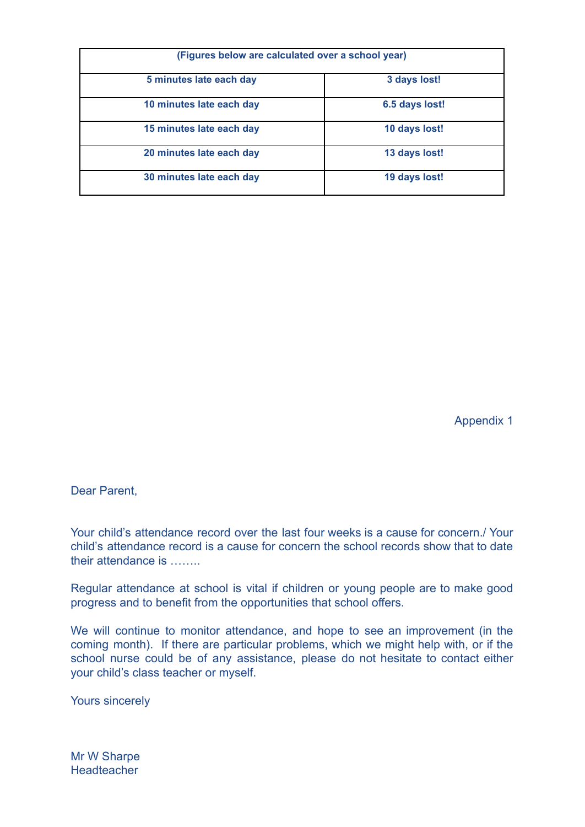| (Figures below are calculated over a school year) |                |  |
|---------------------------------------------------|----------------|--|
| 5 minutes late each day                           | 3 days lost!   |  |
| 10 minutes late each day                          | 6.5 days lost! |  |
| 15 minutes late each day                          | 10 days lost!  |  |
| 20 minutes late each day                          | 13 days lost!  |  |
| 30 minutes late each day                          | 19 days lost!  |  |

Appendix 1

Dear Parent,

Your child's attendance record over the last four weeks is a cause for concern./ Your child's attendance record is a cause for concern the school records show that to date their attendance is ……..

Regular attendance at school is vital if children or young people are to make good progress and to benefit from the opportunities that school offers.

We will continue to monitor attendance, and hope to see an improvement (in the coming month). If there are particular problems, which we might help with, or if the school nurse could be of any assistance, please do not hesitate to contact either your child's class teacher or myself.

Yours sincerely

Mr W Sharpe **Headteacher**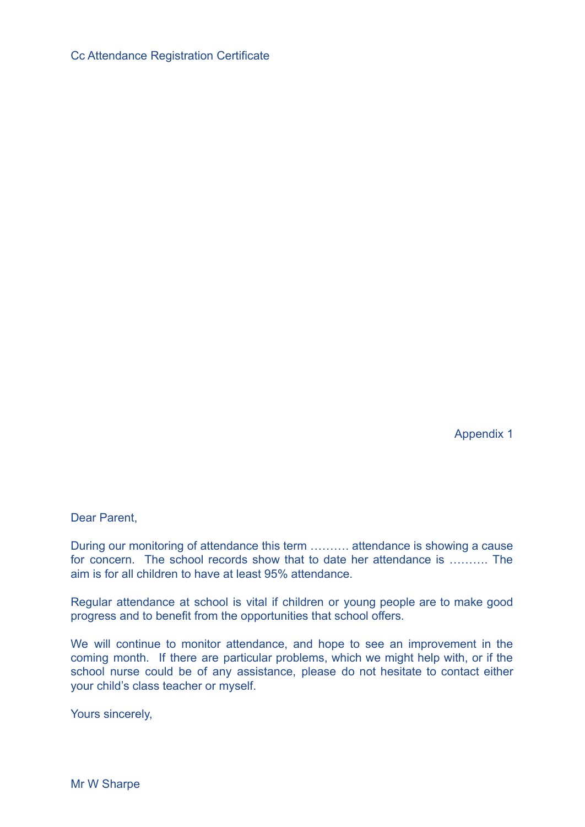Cc Attendance Registration Certificate

Appendix 1

Dear Parent,

During our monitoring of attendance this term ………. attendance is showing a cause for concern. The school records show that to date her attendance is ………. The aim is for all children to have at least 95% attendance.

Regular attendance at school is vital if children or young people are to make good progress and to benefit from the opportunities that school offers.

We will continue to monitor attendance, and hope to see an improvement in the coming month. If there are particular problems, which we might help with, or if the school nurse could be of any assistance, please do not hesitate to contact either your child's class teacher or myself.

Yours sincerely,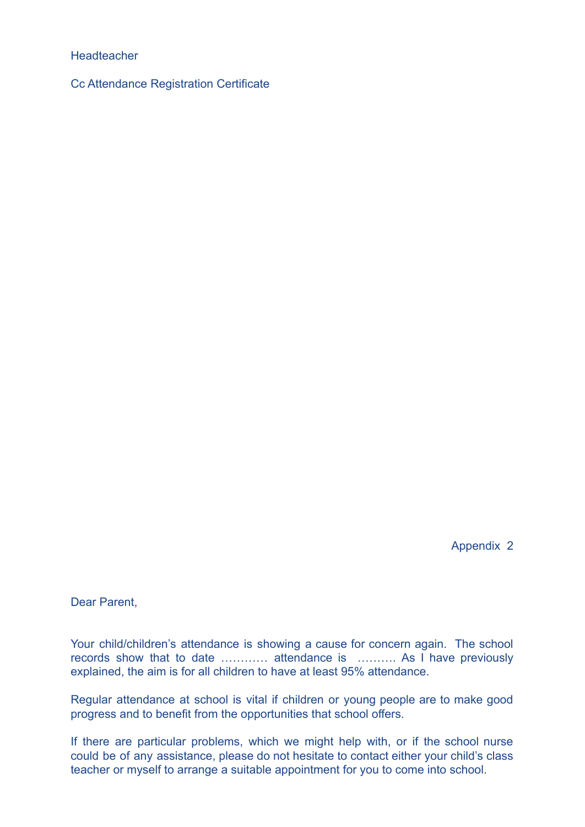## **Headteacher**

Cc Attendance Registration Certificate

Appendix 2

Dear Parent,

Your child/children's attendance is showing a cause for concern again. The school records show that to date ………… attendance is ………. As I have previously explained, the aim is for all children to have at least 95% attendance.

Regular attendance at school is vital if children or young people are to make good progress and to benefit from the opportunities that school offers.

If there are particular problems, which we might help with, or if the school nurse could be of any assistance, please do not hesitate to contact either your child's class teacher or myself to arrange a suitable appointment for you to come into school.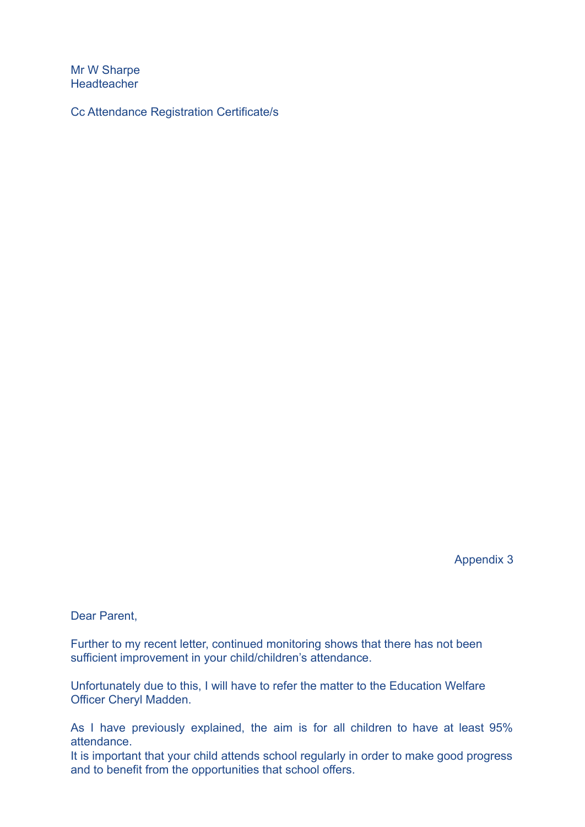Mr W Sharpe **Headteacher** 

Cc Attendance Registration Certificate/s

Appendix 3

Dear Parent,

Further to my recent letter, continued monitoring shows that there has not been sufficient improvement in your child/children's attendance.

Unfortunately due to this, I will have to refer the matter to the Education Welfare Officer Cheryl Madden.

As I have previously explained, the aim is for all children to have at least 95% attendance.

It is important that your child attends school regularly in order to make good progress and to benefit from the opportunities that school offers.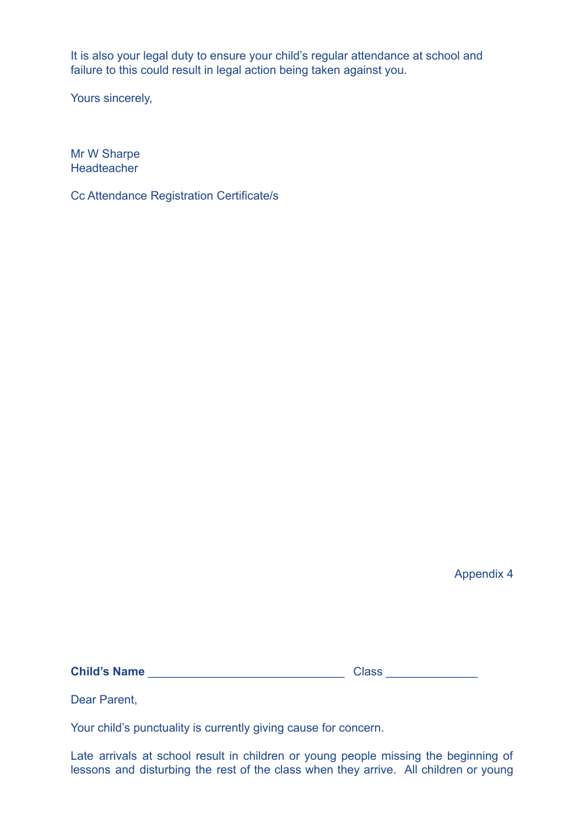It is also your legal duty to ensure your child's regular attendance at school and failure to this could result in legal action being taken against you.

Yours sincerely,

Mr W Sharpe **Headteacher** 

Cc Attendance Registration Certificate/s

Appendix 4

**Child's Name** \_\_\_\_\_\_\_\_\_\_\_\_\_\_\_\_\_\_\_\_\_\_\_\_\_\_\_\_\_\_ Class \_\_\_\_\_\_\_\_\_\_\_\_\_\_

Dear Parent,

Your child's punctuality is currently giving cause for concern.

Late arrivals at school result in children or young people missing the beginning of lessons and disturbing the rest of the class when they arrive. All children or young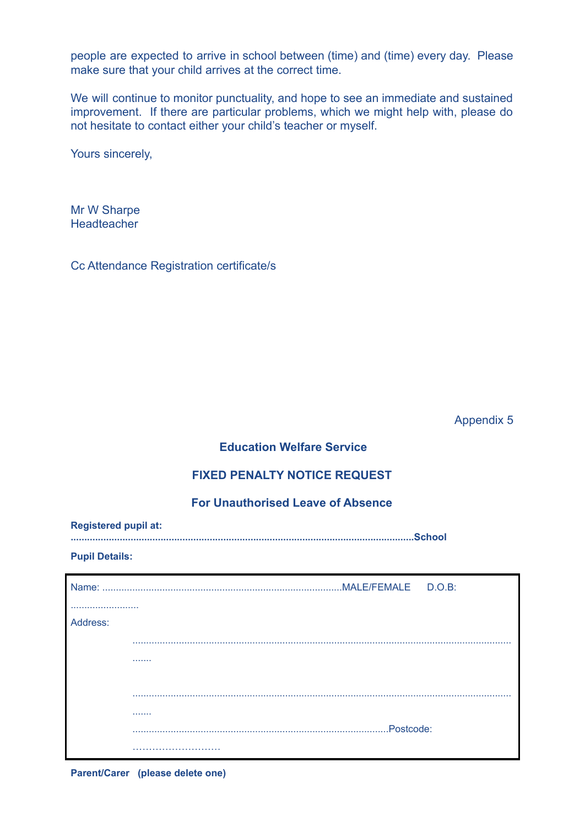people are expected to arrive in school between (time) and (time) every day. Please make sure that your child arrives at the correct time.

We will continue to monitor punctuality, and hope to see an immediate and sustained improvement. If there are particular problems, which we might help with, please do not hesitate to contact either your child's teacher or myself.

Yours sincerely,

Mr W Sharpe Headteacher

Cc Attendance Registration certificate/s

Appendix 5

# **Education Welfare Service**

## **FIXED PENALTY NOTICE REQUEST**

# **For Unauthorised Leave of Absence**

| <b>Registered pupil at:</b> |  |
|-----------------------------|--|
|                             |  |

#### **Pupil Details:**

| Name:    |            |
|----------|------------|
|          |            |
| Address: |            |
|          |            |
|          |            |
|          |            |
|          |            |
|          | .          |
|          | .Postcode: |
|          |            |

**Parent/Carer (please delete one)**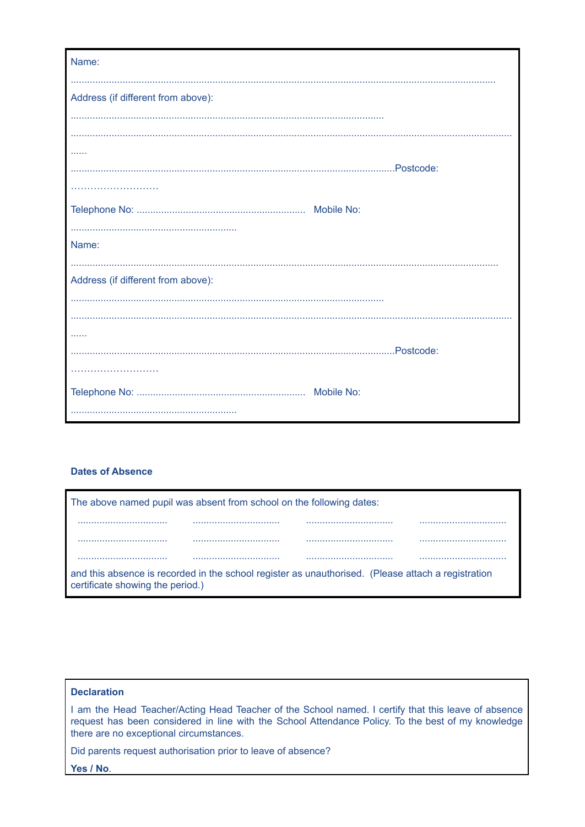| Name:                              |
|------------------------------------|
| Address (if different from above): |
|                                    |
|                                    |
| .                                  |
|                                    |
|                                    |
| Name:                              |
| Address (if different from above): |
|                                    |
|                                    |
| .                                  |
|                                    |
|                                    |
|                                    |
|                                    |

#### **Dates of Absence**

| The above named pupil was absent from school on the following dates:                                                                   |  |  |  |
|----------------------------------------------------------------------------------------------------------------------------------------|--|--|--|
|                                                                                                                                        |  |  |  |
|                                                                                                                                        |  |  |  |
|                                                                                                                                        |  |  |  |
| and this absence is recorded in the school register as unauthorised. (Please attach a registration<br>certificate showing the period.) |  |  |  |

## **Declaration**

I am the Head Teacher/Acting Head Teacher of the School named. I certify that this leave of absence request has been considered in line with the School Attendance Policy. To the best of my knowledge there are no exceptional circumstances.

Did parents request authorisation prior to leave of absence?

Yes / No.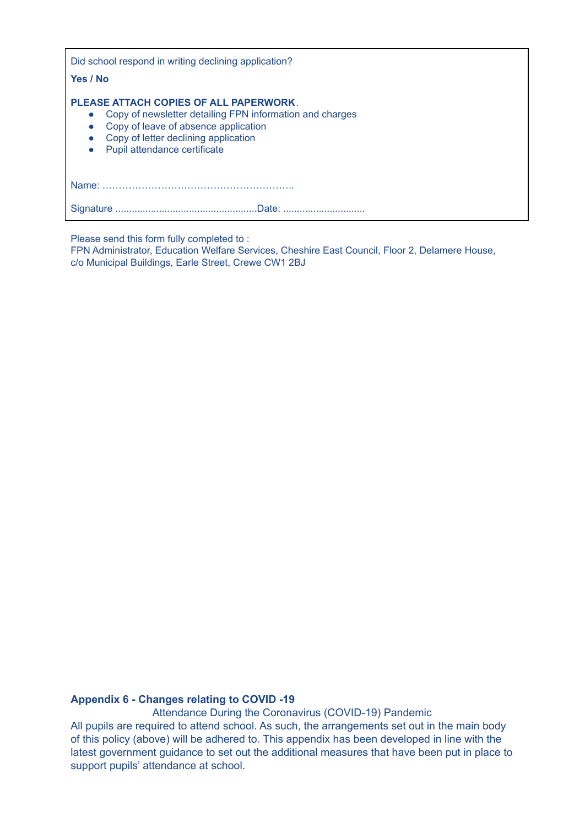Did school respond in writing declining application? **Yes / No PLEASE ATTACH COPIES OF ALL PAPERWORK**. ● Copy of newsletter detailing FPN information and charges ● Copy of leave of absence application • Copy of letter declining application ● Pupil attendance certificate Name: ………………………………………………….. Signature ....................................................Date: ..............................

Please send this form fully completed to :

FPN Administrator, Education Welfare Services, Cheshire East Council, Floor 2, Delamere House, c/o Municipal Buildings, Earle Street, Crewe CW1 2BJ

#### **Appendix 6 - Changes relating to COVID -19**

Attendance During the Coronavirus (COVID-19) Pandemic All pupils are required to attend school. As such, the arrangements set out in the main body of this policy (above) will be adhered to. This appendix has been developed in line with the latest government guidance to set out the additional measures that have been put in place to support pupils' attendance at school.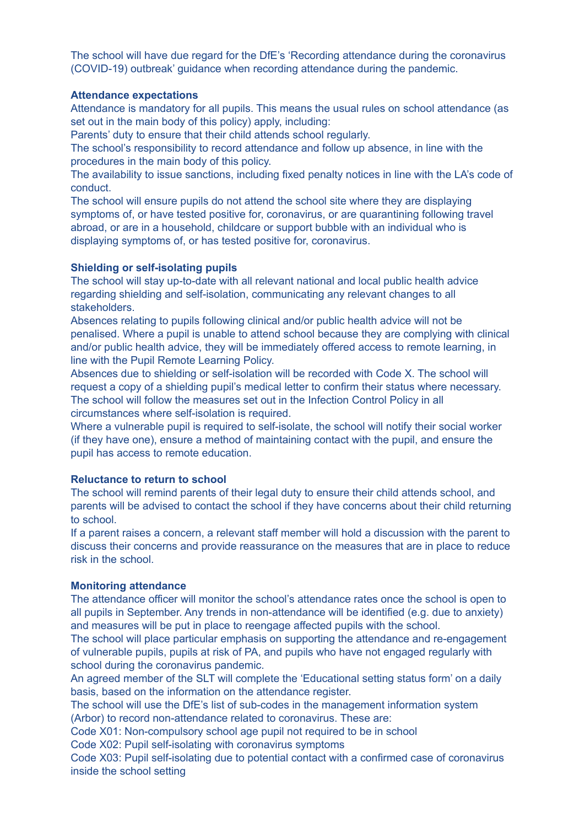The school will have due regard for the DfE's 'Recording attendance during the coronavirus (COVID-19) outbreak' guidance when recording attendance during the pandemic.

## **Attendance expectations**

Attendance is mandatory for all pupils. This means the usual rules on school attendance (as set out in the main body of this policy) apply, including:

Parents' duty to ensure that their child attends school regularly.

The school's responsibility to record attendance and follow up absence, in line with the procedures in the main body of this policy.

The availability to issue sanctions, including fixed penalty notices in line with the LA's code of conduct.

The school will ensure pupils do not attend the school site where they are displaying symptoms of, or have tested positive for, coronavirus, or are quarantining following travel abroad, or are in a household, childcare or support bubble with an individual who is displaying symptoms of, or has tested positive for, coronavirus.

#### **Shielding or self-isolating pupils**

The school will stay up-to-date with all relevant national and local public health advice regarding shielding and self-isolation, communicating any relevant changes to all stakeholders.

Absences relating to pupils following clinical and/or public health advice will not be penalised. Where a pupil is unable to attend school because they are complying with clinical and/or public health advice, they will be immediately offered access to remote learning, in line with the Pupil Remote Learning Policy.

Absences due to shielding or self-isolation will be recorded with Code X. The school will request a copy of a shielding pupil's medical letter to confirm their status where necessary. The school will follow the measures set out in the Infection Control Policy in all circumstances where self-isolation is required.

Where a vulnerable pupil is required to self-isolate, the school will notify their social worker (if they have one), ensure a method of maintaining contact with the pupil, and ensure the pupil has access to remote education.

#### **Reluctance to return to school**

The school will remind parents of their legal duty to ensure their child attends school, and parents will be advised to contact the school if they have concerns about their child returning to school.

If a parent raises a concern, a relevant staff member will hold a discussion with the parent to discuss their concerns and provide reassurance on the measures that are in place to reduce risk in the school.

#### **Monitoring attendance**

The attendance officer will monitor the school's attendance rates once the school is open to all pupils in September. Any trends in non-attendance will be identified (e.g. due to anxiety) and measures will be put in place to reengage affected pupils with the school.

The school will place particular emphasis on supporting the attendance and re-engagement of vulnerable pupils, pupils at risk of PA, and pupils who have not engaged regularly with school during the coronavirus pandemic.

An agreed member of the SLT will complete the 'Educational setting status form' on a daily basis, based on the information on the attendance register.

The school will use the DfE's list of sub-codes in the management information system (Arbor) to record non-attendance related to coronavirus. These are:

Code X01: Non-compulsory school age pupil not required to be in school

Code X02: Pupil self-isolating with coronavirus symptoms

Code X03: Pupil self-isolating due to potential contact with a confirmed case of coronavirus inside the school setting